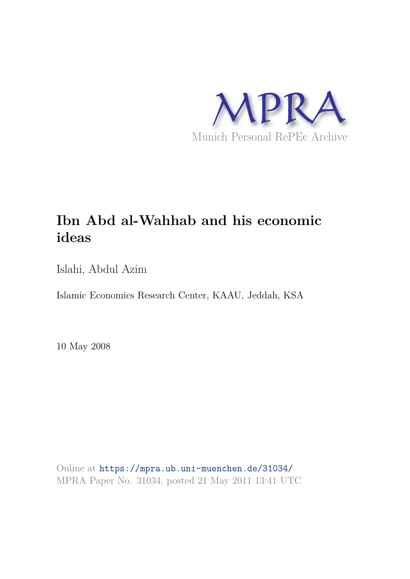

# **Ibn Abd al-Wahhab and his economic ideas**

Islahi, Abdul Azim

Islamic Economics Research Center, KAAU, Jeddah, KSA

10 May 2008

Online at https://mpra.ub.uni-muenchen.de/31034/ MPRA Paper No. 31034, posted 21 May 2011 13:41 UTC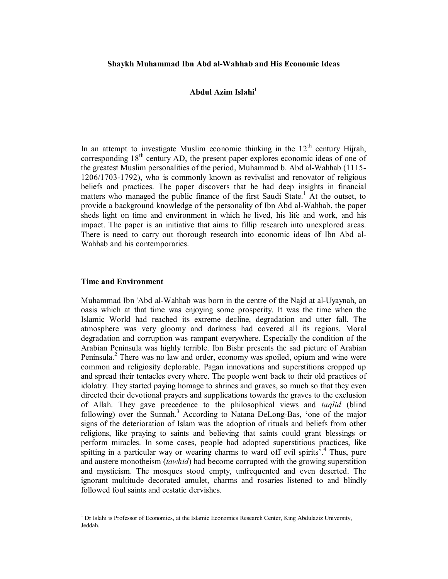### **Shaykh Muhammad Ibn Abd al-Wahhab and His Economic Ideas**

## **Abdul Azim Islahi<sup>1</sup>**

In an attempt to investigate Muslim economic thinking in the  $12<sup>th</sup>$  century Hijrah, corresponding  $18<sup>th</sup>$  century AD, the present paper explores economic ideas of one of the greatest Muslim personalities of the period, Muhammad b. Abd al-Wahhab (1115- 1206/1703-1792), who is commonly known as revivalist and renovator of religious beliefs and practices. The paper discovers that he had deep insights in financial matters who managed the public finance of the first Saudi State.<sup>1</sup> At the outset, to provide a background knowledge of the personality of Ibn Abd al-Wahhab, the paper sheds light on time and environment in which he lived, his life and work, and his impact. The paper is an initiative that aims to fillip research into unexplored areas. There is need to carry out thorough research into economic ideas of Ibn Abd al-Wahhab and his contemporaries.

#### **Time and Environment**

Muhammad Ibn 'Abd al-Wahhab was born in the centre of the Najd at al-Uyaynah, an oasis which at that time was enjoying some prosperity. It was the time when the Islamic World had reached its extreme decline, degradation and utter fall. The atmosphere was very gloomy and darkness had covered all its regions. Moral degradation and corruption was rampant everywhere. Especially the condition of the Arabian Peninsula was highly terrible. Ibn Bishr presents the sad picture of Arabian Peninsula.<sup>2</sup> There was no law and order, economy was spoiled, opium and wine were common and religiosity deplorable. Pagan innovations and superstitions cropped up and spread their tentacles every where. The people went back to their old practices of idolatry. They started paying homage to shrines and graves, so much so that they even directed their devotional prayers and supplications towards the graves to the exclusion of Allah. They gave precedence to the philosophical views and *taqlid* (blind following) over the Sunnah.<sup>3</sup> According to Natana DeLong-Bas, 'one of the major signs of the deterioration of Islam was the adoption of rituals and beliefs from other religions, like praying to saints and believing that saints could grant blessings or perform miracles. In some cases, people had adopted superstitious practices, like spitting in a particular way or wearing charms to ward off evil spirits<sup>7</sup>.<sup>4</sup> Thus, pure and austere monotheism (*tawhid*) had become corrupted with the growing superstition and mysticism. The mosques stood empty, unfrequented and even deserted. The ignorant multitude decorated amulet, charms and rosaries listened to and blindly followed foul saints and ecstatic dervishes.

 $\overline{a}$ 

 $1$  Dr Islahi is Professor of Economics, at the Islamic Economics Research Center, King Abdulaziz University, Jeddah.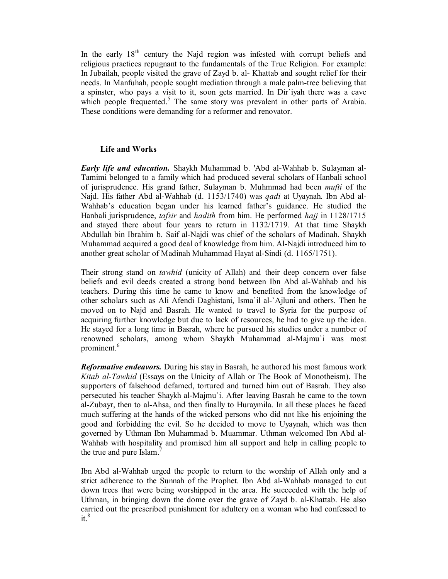In the early  $18<sup>th</sup>$  century the Najd region was infested with corrupt beliefs and religious practices repugnant to the fundamentals of the True Religion. For example: In Jubailah, people visited the grave of Zayd b. al- Khattab and sought relief for their needs. In Manfuhah, people sought mediation through a male palm-tree believing that a spinster, who pays a visit to it, soon gets married. In Dir`iyah there was a cave which people frequented.<sup>5</sup> The same story was prevalent in other parts of Arabia. These conditions were demanding for a reformer and renovator.

## **Life and Works**

*Early life and education.* Shaykh Muhammad b. 'Abd al-Wahhab b. Sulayman al-Tamimi belonged to a family which had produced several scholars of Hanbali school of jurisprudence. His grand father, Sulayman b. Muhmmad had been *mufti* of the Najd. His father Abd al-Wahhab (d. 1153/1740) was *qadi* at Uyaynah. Ibn Abd al-Wahhab's education began under his learned father's guidance. He studied the Hanbali jurisprudence, *tafsir* and *hadith* from him. He performed *hajj* in 1128/1715 and stayed there about four years to return in 1132/1719. At that time Shaykh Abdullah bin Ibrahim b. Saif al-Najdi was chief of the scholars of Madinah. Shaykh Muhammad acquired a good deal of knowledge from him. Al-Najdi introduced him to another great scholar of Madinah Muhammad Hayat al-Sindi (d. 1165/1751).

Their strong stand on *tawhid* (unicity of Allah) and their deep concern over false beliefs and evil deeds created a strong bond between Ibn Abd al-Wahhab and his teachers. During this time he came to know and benefited from the knowledge of other scholars such as Ali Afendi Daghistani, Isma`il al-`Ajluni and others. Then he moved on to Najd and Basrah. He wanted to travel to Syria for the purpose of acquiring further knowledge but due to lack of resources, he had to give up the idea. He stayed for a long time in Basrah, where he pursued his studies under a number of renowned scholars, among whom Shaykh Muhammad al-Majmu`i was most prominent.<sup>6</sup>

*Reformative endeavors.* During his stay in Basrah, he authored his most famous work *Kitab al-Tawhid* (Essays on the Unicity of Allah or The Book of Monotheism). The supporters of falsehood defamed, tortured and turned him out of Basrah. They also persecuted his teacher Shaykh al-Majmu`i. After leaving Basrah he came to the town al-Zubayr, then to al-Ahsa, and then finally to Huraymila. In all these places he faced much suffering at the hands of the wicked persons who did not like his enjoining the good and forbidding the evil. So he decided to move to Uyaynah, which was then governed by Uthman Ibn Muhammad b. Muammar. Uthman welcomed Ibn Abd al-Wahhab with hospitality and promised him all support and help in calling people to the true and pure Islam.<sup>7</sup>

Ibn Abd al-Wahhab urged the people to return to the worship of Allah only and a strict adherence to the Sunnah of the Prophet. Ibn Abd al-Wahhab managed to cut down trees that were being worshipped in the area. He succeeded with the help of Uthman, in bringing down the dome over the grave of Zayd b. al-Khattab. He also carried out the prescribed punishment for adultery on a woman who had confessed to  $it.<sup>8</sup>$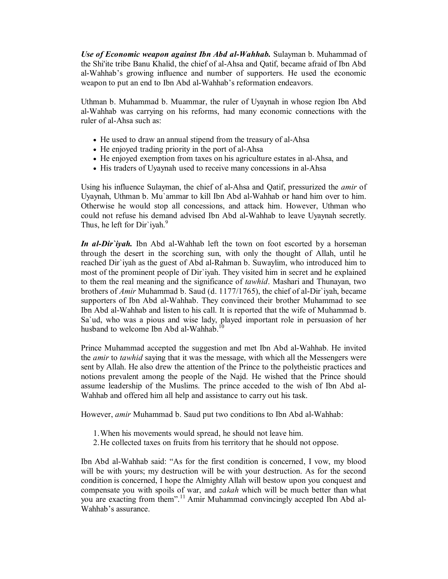*Use of Economic weapon against Ibn Abd al-Wahhab.* Sulayman b. Muhammad of the Shi'ite tribe Banu Khalid, the chief of al-Ahsa and Qatif, became afraid of Ibn Abd al-Wahhab's growing influence and number of supporters. He used the economic weapon to put an end to Ibn Abd al-Wahhab's reformation endeavors.

Uthman b. Muhammad b. Muammar, the ruler of Uyaynah in whose region Ibn Abd al-Wahhab was carrying on his reforms, had many economic connections with the ruler of al-Ahsa such as:

- He used to draw an annual stipend from the treasury of al-Ahsa
- He enjoyed trading priority in the port of al-Ahsa
- He enjoyed exemption from taxes on his agriculture estates in al-Ahsa, and
- His traders of Uyaynah used to receive many concessions in al-Ahsa

Using his influence Sulayman, the chief of al-Ahsa and Qatif, pressurized the *amir* of Uyaynah, Uthman b. Mu`ammar to kill Ibn Abd al-Wahhab or hand him over to him. Otherwise he would stop all concessions, and attack him. However, Uthman who could not refuse his demand advised Ibn Abd al-Wahhab to leave Uyaynah secretly. Thus, he left for Dir`iyah.<sup>9</sup>

*In al-Dir`iyah.* Ibn Abd al-Wahhab left the town on foot escorted by a horseman through the desert in the scorching sun, with only the thought of Allah, until he reached Dir`iyah as the guest of Abd al-Rahman b. Suwaylim, who introduced him to most of the prominent people of Dir`iyah. They visited him in secret and he explained to them the real meaning and the significance of *tawhid*. Mashari and Thunayan, two brothers of *Amir* Muhammad b. Saud (d. 1177/1765), the chief of al-Dir`iyah, became supporters of Ibn Abd al-Wahhab. They convinced their brother Muhammad to see Ibn Abd al-Wahhab and listen to his call. It is reported that the wife of Muhammad b. Sa`ud, who was a pious and wise lady, played important role in persuasion of her husband to welcome Ibn Abd al-Wahhab.

Prince Muhammad accepted the suggestion and met Ibn Abd al-Wahhab. He invited the *amir* to *tawhid* saying that it was the message, with which all the Messengers were sent by Allah. He also drew the attention of the Prince to the polytheistic practices and notions prevalent among the people of the Najd. He wished that the Prince should assume leadership of the Muslims. The prince acceded to the wish of Ibn Abd al-Wahhab and offered him all help and assistance to carry out his task.

However, *amir* Muhammad b. Saud put two conditions to Ibn Abd al-Wahhab:

- 1.When his movements would spread, he should not leave him.
- 2.He collected taxes on fruits from his territory that he should not oppose.

Ibn Abd al-Wahhab said: "As for the first condition is concerned, I vow, my blood will be with yours; my destruction will be with your destruction. As for the second condition is concerned, I hope the Almighty Allah will bestow upon you conquest and compensate you with spoils of war, and *zakah* which will be much better than what you are exacting from them".<sup>11</sup> Amir Muhammad convincingly accepted Ibn Abd al-Wahhab's assurance.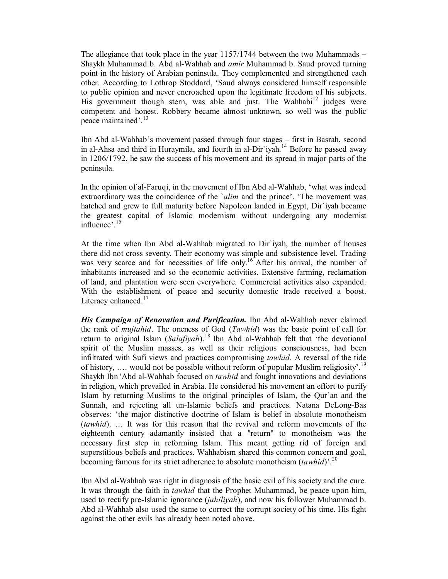The allegiance that took place in the year 1157/1744 between the two Muhammads – Shaykh Muhammad b. Abd al-Wahhab and *amir* Muhammad b. Saud proved turning point in the history of Arabian peninsula. They complemented and strengthened each other. According to Lothrop Stoddard, 'Saud always considered himself responsible to public opinion and never encroached upon the legitimate freedom of his subjects. His government though stern, was able and just. The Wahhabi<sup>12</sup> judges were competent and honest. Robbery became almost unknown, so well was the public peace maintained'.<sup>13</sup>

Ibn Abd al-Wahhab's movement passed through four stages – first in Basrah, second in al-Ahsa and third in Huraymila, and fourth in al-Dir ivah.<sup>14</sup> Before he passed away in 1206/1792, he saw the success of his movement and its spread in major parts of the peninsula.

In the opinion of al-Faruqi, in the movement of Ibn Abd al-Wahhab, 'what was indeed extraordinary was the coincidence of the `*alim* and the prince'. 'The movement was hatched and grew to full maturity before Napoleon landed in Egypt, Dir`iyah became the greatest capital of Islamic modernism without undergoing any modernist influence'.<sup>15</sup>

At the time when Ibn Abd al-Wahhab migrated to Dir`iyah, the number of houses there did not cross seventy. Their economy was simple and subsistence level. Trading was very scarce and for necessities of life only.<sup>16</sup> After his arrival, the number of inhabitants increased and so the economic activities. Extensive farming, reclamation of land, and plantation were seen everywhere. Commercial activities also expanded. With the establishment of peace and security domestic trade received a boost. Literacy enhanced.<sup>17</sup>

*His Campaign of Renovation and Purification.* Ibn Abd al-Wahhab never claimed the rank of *mujtahid*. The oneness of God (*Tawhid*) was the basic point of call for return to original Islam (*Salafiyah*).<sup>18</sup> Ibn Abd al-Wahhab felt that 'the devotional spirit of the Muslim masses, as well as their religious consciousness, had been infiltrated with Sufi views and practices compromising *tawhid*. A reversal of the tide of history, .... would not be possible without reform of popular Muslim religiosity'.<sup>19</sup> Shaykh Ibn 'Abd al-Wahhab focused on *tawhid* and fought innovations and deviations in religion, which prevailed in Arabia. He considered his movement an effort to purify Islam by returning Muslims to the original principles of Islam, the Qur`an and the Sunnah, and rejecting all un-Islamic beliefs and practices. Natana DeLong-Bas observes: 'the major distinctive doctrine of Islam is belief in absolute monotheism (*tawhid*). … It was for this reason that the revival and reform movements of the eighteenth century adamantly insisted that a "return" to monotheism was the necessary first step in reforming Islam. This meant getting rid of foreign and superstitious beliefs and practices. Wahhabism shared this common concern and goal, becoming famous for its strict adherence to absolute monotheism (*tawhid*)'.<sup>20</sup>

Ibn Abd al-Wahhab was right in diagnosis of the basic evil of his society and the cure. It was through the faith in *tawhid* that the Prophet Muhammad, be peace upon him, used to rectify pre-Islamic ignorance (*jahiliyah*), and now his follower Muhammad b. Abd al-Wahhab also used the same to correct the corrupt society of his time. His fight against the other evils has already been noted above.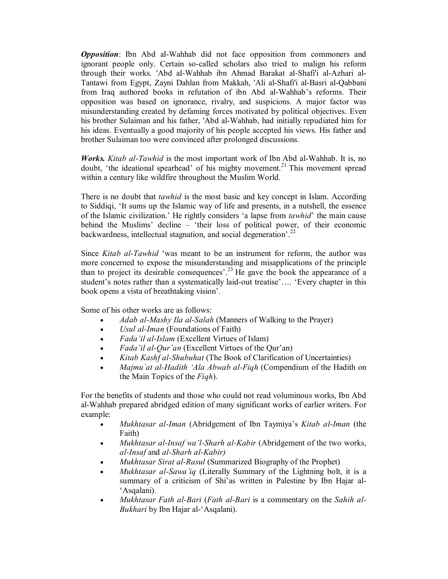*Opposition*: Ibn Abd al-Wahhab did not face opposition from commoners and ignorant people only. Certain so-called scholars also tried to malign his reform through their works. 'Abd al-Wahhab ibn Ahmad Barakat al-Shafi'i al-Azhari al-Tantawi from Egypt, Zayni Dahlan from Makkah, 'Ali al-Shafi'i al-Basri al-Qabbani from Iraq authored books in refutation of ibn Abd al-Wahhab's reforms. Their opposition was based on ignorance, rivalry, and suspicions. A major factor was misunderstanding created by defaming forces motivated by political objectives. Even his brother Sulaiman and his father, 'Abd al-Wahhab, had initially repudiated him for his ideas. Eventually a good majority of his people accepted his views. His father and brother Sulaiman too were convinced after prolonged discussions.

*Works. Kitab al-Tawhid* is the most important work of Ibn Abd al-Wahhab. It is, no doubt, 'the ideational spearhead' of his mighty movement.<sup>21</sup> This movement spread within a century like wildfire throughout the Muslim World.

There is no doubt that *tawhid* is the most basic and key concept in Islam. According to Siddiqi, 'It sums up the Islamic way of life and presents, in a nutshell, the essence of the Islamic civilization.' He rightly considers 'a lapse from *tawhid*' the main cause behind the Muslims' decline – 'their loss of political power, of their economic backwardness, intellectual stagnation, and social degeneration<sup>'.22</sup>

Since *Kitab al-Tawhid* 'was meant to be an instrument for reform, the author was more concerned to expose the misunderstanding and misapplications of the principle than to project its desirable consequences'.<sup>23</sup> He gave the book the appearance of a student's notes rather than a systematically laid-out treatise'…. 'Every chapter in this book opens a vista of breathtaking vision'.

Some of his other works are as follows:

- *Adab al-Mashy Ila al-Salah* (Manners of Walking to the Prayer)
- *Usul al-Iman* (Foundations of Faith)
- *Fada'il al-Islam* (Excellent Virtues of Islam)
- *Fada'il al-Qur'an* (Excellent Virtues of the Qur'an)
- *Kitab Kashf al-Shubuhat* (The Book of Clarification of Uncertainties)
- *Majmu`at al-Hadith 'Ala Abwab al-Fiqh* (Compendium of the Hadith on the Main Topics of the *Fiqh*).

For the benefits of students and those who could not read voluminous works, Ibn Abd al-Wahhab prepared abridged edition of many significant works of earlier writers. For example:

- *Mukhtasar al-Iman* (Abridgement of Ibn Taymiya's *Kitab al-Iman* (the Faith)
- *Mukhtasar al-Insaf wa'l-Sharh al-Kabir* (Abridgement of the two works, *al-Insaf* and *al-Sharh al-Kabir)*
- *Mukhtasar Sirat al-Rasul* (Summarized Biography of the Prophet)
- *Mukhtasar al-Sawa`iq* (Literally Summary of the Lightning bolt, it is a summary of a criticism of Shi'as written in Palestine by Ibn Hajar al- 'Asqalani).
- *Mukhtasar Fath al-Bari* (*Fath al-Bari* is a commentary on the *Sahih al-Bukhari* by Ibn Hajar al-'Asqalani).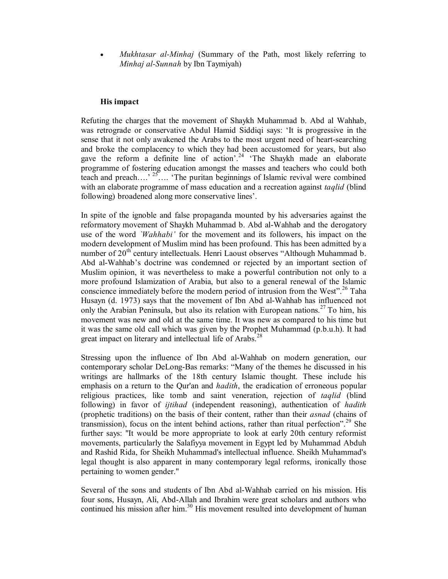*Mukhtasar al-Minhaj* (Summary of the Path, most likely referring to *Minhaj al-Sunnah* by Ibn Taymiyah)

#### **His impact**

Refuting the charges that the movement of Shaykh Muhammad b. Abd al Wahhab, was retrograde or conservative Abdul Hamid Siddiqi says: 'It is progressive in the sense that it not only awakened the Arabs to the most urgent need of heart-searching and broke the complacency to which they had been accustomed for years, but also gave the reform a definite line of action'.<sup>24</sup> 'The Shaykh made an elaborate programme of fostering education amongst the masses and teachers who could both teach and preach….'<sup>25</sup>…. 'The puritan beginnings of Islamic revival were combined with an elaborate programme of mass education and a recreation against *taqlid* (blind following) broadened along more conservative lines'.

In spite of the ignoble and false propaganda mounted by his adversaries against the reformatory movement of Shaykh Muhammad b. Abd al-Wahhab and the derogatory use of the word *`Wahhabi'* for the movement and its followers, his impact on the modern development of Muslim mind has been profound. This has been admitted by a number of  $20<sup>th</sup>$  century intellectuals. Henri Laoust observes "Although Muhammad b. Abd al-Wahhab's doctrine was condemned or rejected by an important section of Muslim opinion, it was nevertheless to make a powerful contribution not only to a more profound Islamization of Arabia, but also to a general renewal of the Islamic conscience immediately before the modern period of intrusion from the West".<sup>26</sup> Taha Husayn (d. 1973) says that the movement of Ibn Abd al-Wahhab has influenced not only the Arabian Peninsula, but also its relation with European nations.<sup>27</sup> To him, his movement was new and old at the same time. It was new as compared to his time but it was the same old call which was given by the Prophet Muhammad (p.b.u.h). It had great impact on literary and intellectual life of Arabs.<sup>28</sup>

Stressing upon the influence of Ibn Abd al-Wahhab on modern generation, our contemporary scholar DeLong-Bas remarks: "Many of the themes he discussed in his writings are hallmarks of the 18th century Islamic thought. These include his emphasis on a return to the Qur'an and *hadith*, the eradication of erroneous popular religious practices, like tomb and saint veneration, rejection of *taqlid* (blind following) in favor of *ijtihad* (independent reasoning), authentication of *hadith* (prophetic traditions) on the basis of their content, rather than their *asnad* (chains of transmission), focus on the intent behind actions, rather than ritual perfection".<sup>29</sup> She further says: "It would be more appropriate to look at early 20th century reformist movements, particularly the Salafiyya movement in Egypt led by Muhammad Abduh and Rashid Rida, for Sheikh Muhammad's intellectual influence. Sheikh Muhammad's legal thought is also apparent in many contemporary legal reforms, ironically those pertaining to women gender."

Several of the sons and students of Ibn Abd al-Wahhab carried on his mission. His four sons, Husayn, Ali, Abd-Allah and Ibrahim were great scholars and authors who continued his mission after him.<sup>30</sup> His movement resulted into development of human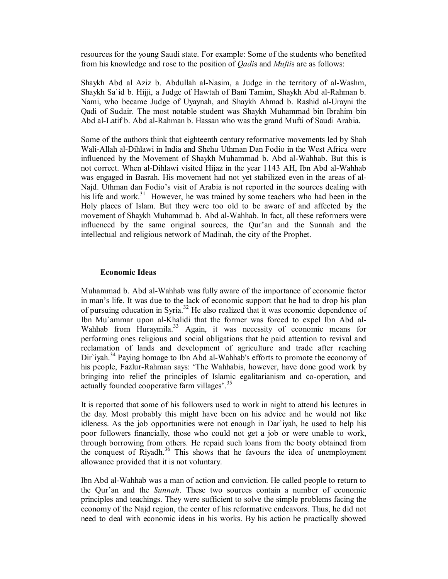resources for the young Saudi state. For example: Some of the students who benefited from his knowledge and rose to the position of *Qadi*s and *Mufti*s are as follows:

Shaykh Abd al Aziz b. Abdullah al-Nasim, a Judge in the territory of al-Washm, Shaykh Sa`id b. Hijji, a Judge of Hawtah of Bani Tamim, Shaykh Abd al-Rahman b. Nami, who became Judge of Uyaynah, and Shaykh Ahmad b. Rashid al-Urayni the Qadi of Sudair. The most notable student was Shaykh Muhammad bin Ibrahim bin Abd al-Latif b. Abd al-Rahman b. Hassan who was the grand Mufti of Saudi Arabia.

Some of the authors think that eighteenth century reformative movements led by Shah Wali-Allah al-Dihlawi in India and Shehu Uthman Dan Fodio in the West Africa were influenced by the Movement of Shaykh Muhammad b. Abd al-Wahhab. But this is not correct. When al-Dihlawi visited Hijaz in the year 1143 AH, Ibn Abd al-Wahhab was engaged in Basrah. His movement had not yet stabilized even in the areas of al-Najd. Uthman dan Fodio's visit of Arabia is not reported in the sources dealing with his life and work.<sup>31</sup> However, he was trained by some teachers who had been in the Holy places of Islam. But they were too old to be aware of and affected by the movement of Shaykh Muhammad b. Abd al-Wahhab. In fact, all these reformers were influenced by the same original sources, the Qur'an and the Sunnah and the intellectual and religious network of Madinah, the city of the Prophet.

#### **Economic Ideas**

Muhammad b. Abd al-Wahhab was fully aware of the importance of economic factor in man's life. It was due to the lack of economic support that he had to drop his plan of pursuing education in Syria.<sup>32</sup> He also realized that it was economic dependence of Ibn Mu`ammar upon al-Khalidi that the former was forced to expel Ibn Abd al-Wahhab from Huraymila.<sup>33</sup> Again, it was necessity of economic means for performing ones religious and social obligations that he paid attention to revival and reclamation of lands and development of agriculture and trade after reaching Dir`iyah.<sup>34</sup> Paying homage to Ibn Abd al-Wahhab's efforts to promote the economy of his people, Fazlur-Rahman says: 'The Wahhabis, however, have done good work by bringing into relief the principles of Islamic egalitarianism and co-operation, and actually founded cooperative farm villages'.<sup>35</sup>

It is reported that some of his followers used to work in night to attend his lectures in the day. Most probably this might have been on his advice and he would not like idleness. As the job opportunities were not enough in Dar`iyah, he used to help his poor followers financially, those who could not get a job or were unable to work, through borrowing from others. He repaid such loans from the booty obtained from the conquest of Riyadh.<sup>36</sup> This shows that he favours the idea of unemployment allowance provided that it is not voluntary.

Ibn Abd al-Wahhab was a man of action and conviction. He called people to return to the Qur'an and the *Sunnah*. These two sources contain a number of economic principles and teachings. They were sufficient to solve the simple problems facing the economy of the Najd region, the center of his reformative endeavors. Thus, he did not need to deal with economic ideas in his works. By his action he practically showed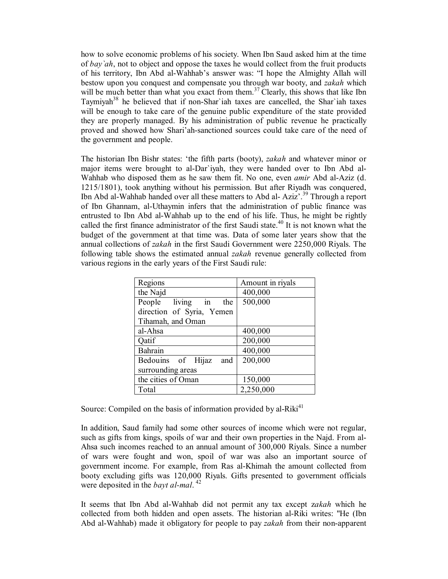how to solve economic problems of his society. When Ibn Saud asked him at the time of *bay`ah*, not to object and oppose the taxes he would collect from the fruit products of his territory, Ibn Abd al-Wahhab's answer was: "I hope the Almighty Allah will bestow upon you conquest and compensate you through war booty, and *zakah* which will be much better than what you exact from them.<sup>37</sup> Clearly, this shows that like Ibn Taymiyah<sup>38</sup> he believed that if non-Shar'iah taxes are cancelled, the Shar'iah taxes will be enough to take care of the genuine public expenditure of the state provided they are properly managed. By his administration of public revenue he practically proved and showed how Shari'ah-sanctioned sources could take care of the need of the government and people.

The historian Ibn Bishr states: 'the fifth parts (booty), *zakah* and whatever minor or major items were brought to al-Dar`iyah, they were handed over to Ibn Abd al-Wahhab who disposed them as he saw them fit. No one, even *amir* Abd al-Aziz (d. 1215/1801), took anything without his permission. But after Riyadh was conquered, Ibn Abd al-Wahhab handed over all these matters to Abd al- Aziz'.<sup>39</sup> Through a report of Ibn Ghannam, al-Uthaymin infers that the administration of public finance was entrusted to Ibn Abd al-Wahhab up to the end of his life. Thus, he might be rightly called the first finance administrator of the first Saudi state.<sup>40</sup> It is not known what the budget of the government at that time was. Data of some later years show that the annual collections of *zakah* in the first Saudi Government were 2250,000 Riyals. The following table shows the estimated annual *zakah* revenue generally collected from various regions in the early years of the First Saudi rule:

| Amount in riyals |
|------------------|
| 400,000          |
| 500,000          |
|                  |
|                  |
| 400,000          |
| 200,000          |
| 400,000          |
| 200,000          |
|                  |
| 150,000          |
| 2,250,000        |
|                  |

Source: Compiled on the basis of information provided by al-Riki<sup>41</sup>

In addition, Saud family had some other sources of income which were not regular, such as gifts from kings, spoils of war and their own properties in the Najd. From al-Ahsa such incomes reached to an annual amount of 300,000 Riyals. Since a number of wars were fought and won, spoil of war was also an important source of government income. For example, from Ras al-Khimah the amount collected from booty excluding gifts was 120,000 Riyals. Gifts presented to government officials were deposited in the *bayt al-mal*.<sup>42</sup>

It seems that Ibn Abd al-Wahhab did not permit any tax except z*akah* which he collected from both hidden and open assets. The historian al-Riki writes: "He (Ibn Abd al-Wahhab) made it obligatory for people to pay *zakah* from their non-apparent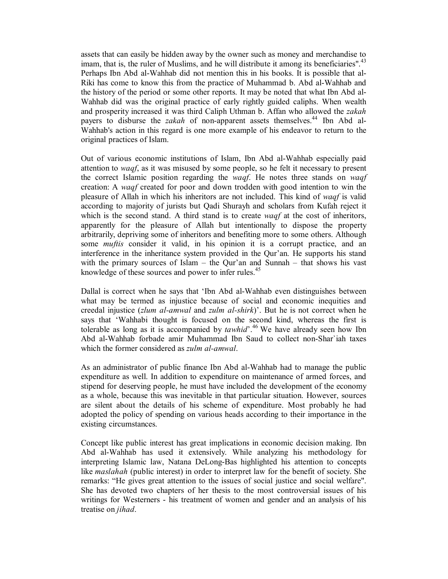assets that can easily be hidden away by the owner such as money and merchandise to imam, that is, the ruler of Muslims, and he will distribute it among its beneficiaries".<sup>43</sup> Perhaps Ibn Abd al-Wahhab did not mention this in his books. It is possible that al-Riki has come to know this from the practice of Muhammad b. Abd al-Wahhab and the history of the period or some other reports. It may be noted that what Ibn Abd al-Wahhab did was the original practice of early rightly guided caliphs. When wealth and prosperity increased it was third Caliph Uthman b. Affan who allowed the *zakah* payers to disburse the *zakah* of non-apparent assets themselves.<sup>44</sup> Ibn Abd al-Wahhab's action in this regard is one more example of his endeavor to return to the original practices of Islam.

Out of various economic institutions of Islam, Ibn Abd al-Wahhab especially paid attention to *waqf*, as it was misused by some people, so he felt it necessary to present the correct Islamic position regarding the *waqf*. He notes three stands on *waqf* creation: A *waqf* created for poor and down trodden with good intention to win the pleasure of Allah in which his inheritors are not included. This kind of *waqf* is valid according to majority of jurists but Qadi Shurayh and scholars from Kufah reject it which is the second stand. A third stand is to create *waqf* at the cost of inheritors, apparently for the pleasure of Allah but intentionally to dispose the property arbitrarily, depriving some of inheritors and benefiting more to some others. Although some *muftis* consider it valid, in his opinion it is a corrupt practice, and an interference in the inheritance system provided in the Qur'an. He supports his stand with the primary sources of Islam – the Qur'an and Sunnah – that shows his vast knowledge of these sources and power to infer rules.<sup>45</sup>

Dallal is correct when he says that 'Ibn Abd al-Wahhab even distinguishes between what may be termed as injustice because of social and economic inequities and creedal injustice (*zlum al-amwal* and *zulm al-shirk*)'. But he is not correct when he says that 'Wahhabi thought is focused on the second kind, whereas the first is tolerable as long as it is accompanied by *tawhid*<sup>'</sup>.<sup>46</sup> We have already seen how Ibn Abd al-Wahhab forbade amir Muhammad Ibn Saud to collect non-Shar`iah taxes which the former considered as *zulm al-amwal*.

As an administrator of public finance Ibn Abd al-Wahhab had to manage the public expenditure as well. In addition to expenditure on maintenance of armed forces, and stipend for deserving people, he must have included the development of the economy as a whole, because this was inevitable in that particular situation. However, sources are silent about the details of his scheme of expenditure. Most probably he had adopted the policy of spending on various heads according to their importance in the existing circumstances.

Concept like public interest has great implications in economic decision making. Ibn Abd al-Wahhab has used it extensively. While analyzing his methodology for interpreting Islamic law, Natana DeLong-Bas highlighted his attention to concepts like *maslahah* (public interest) in order to interpret law for the benefit of society. She remarks: "He gives great attention to the issues of social justice and social welfare". She has devoted two chapters of her thesis to the most controversial issues of his writings for Westerners - his treatment of women and gender and an analysis of his treatise on *jihad*.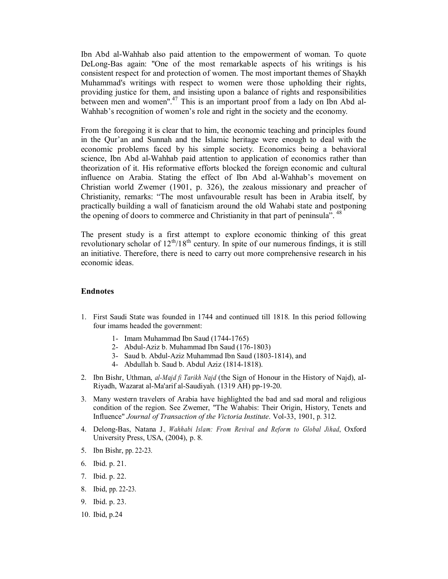Ibn Abd al-Wahhab also paid attention to the empowerment of woman. To quote DeLong-Bas again: "One of the most remarkable aspects of his writings is his consistent respect for and protection of women. The most important themes of Shaykh Muhammad's writings with respect to women were those upholding their rights, providing justice for them, and insisting upon a balance of rights and responsibilities between men and women".<sup>47</sup> This is an important proof from a lady on Ibn Abd al-Wahhab's recognition of women's role and right in the society and the economy.

From the foregoing it is clear that to him, the economic teaching and principles found in the Qur'an and Sunnah and the Islamic heritage were enough to deal with the economic problems faced by his simple society. Economics being a behavioral science, Ibn Abd al-Wahhab paid attention to application of economics rather than theorization of it. His reformative efforts blocked the foreign economic and cultural influence on Arabia. Stating the effect of Ibn Abd al-Wahhab's movement on Christian world Zwemer (1901, p. 326), the zealous missionary and preacher of Christianity, remarks: "The most unfavourable result has been in Arabia itself, by practically building a wall of fanaticism around the old Wahabi state and postponing the opening of doors to commerce and Christianity in that part of peninsula<sup>5</sup>.<sup>48</sup>

The present study is a first attempt to explore economic thinking of this great revolutionary scholar of 12<sup>th</sup>/18<sup>th</sup> century. In spite of our numerous findings, it is still an initiative. Therefore, there is need to carry out more comprehensive research in his economic ideas.

#### **Endnotes**

- 1. First Saudi State was founded in 1744 and continued till 1818. In this period following four imams headed the government:
	- 1- Imam Muhammad Ibn Saud (1744-1765)
	- 2- Abdul-Aziz b. Muhammad Ibn Saud (176-1803)
	- 3- Saud b. Abdul-Aziz Muhammad Ibn Saud (1803-1814), and
	- 4- Abdullah b. Saud b. Abdul Aziz (1814-1818).
- 2. Ibn Bishr, Uthman, *al-Majd fi Tarikh Najd* (the Sign of Honour in the History of Najd), aI-Riyadh, Wazarat al-Ma'arif al-Saudiyah. (1319 AH) pp-19-20.
- 3. Many western travelers of Arabia have highlighted the bad and sad moral and religious condition of the region. See Zwemer, "The Wahabis: Their Origin, History, Tenets and Influence" *Journal of Transaction of the Victoria Institute*. Vol-33, 1901, p. 312.
- 4. Delong-Bas, Natana J., *Wahhabi Islam: From Revival and Reform to Global Jihad*, Oxford University Press, USA, (2004), p. 8.
- 5. Ibn Bishr, pp. 22-23.
- 6. Ibid. p. 21.
- 7. Ibid. p. 22.
- 8. Ibid, pp. 22-23.
- 9. Ibid. p. 23.
- 10. Ibid, p.24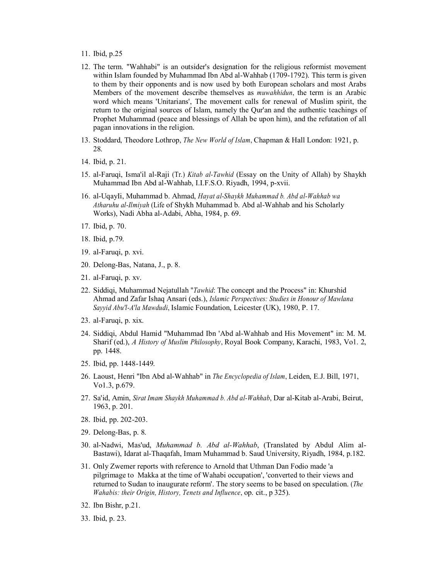- 11. Ibid, p.25
- 12. The term. "Wahhabi" is an outsider's designation for the religious reformist movement within Islam founded by Muhammad Ibn Abd al-Wahhab (1709-1792). This term is given to them by their opponents and is now used by both European scholars and most Arabs Members of the movement describe themselves as *muwahhidun*, the term is an Arabic word which means 'Unitarians', The movement calls for renewal of Muslim spirit, the return to the original sources of Islam, namely the Qur'an and the authentic teachings of Prophet Muhammad (peace and blessings of Allah be upon him), and the refutation of all pagan innovations in the religion.
- 13. Stoddard, Theodore Lothrop, *The New World of Islam*, Chapman & Hall London: 1921, p. 28.
- 14. Ibid, p. 21.
- 15. al-Faruqi, Isma'il al-Raji (Tr.) *Kitab al-Tawhid* (Essay on the Unity of Allah) by Shaykh Muhammad Ibn Abd al-Wahhab, I.I.F.S.O. Riyadh, 1994, p-xvii.
- 16. al-UqayIi, Muhammad b. Ahmad, *Hayat al-Shaykh Muhammad b. Abd al-Wahhab wa Atharuhu al-Ilmiyah* (Life of Shykh Muhammad b. Abd al-Wahhab and his Scholarly Works), Nadi Abha al-Adabi, Abha, 1984, p. 69.
- 17. Ibid, p. 70.
- 18. Ibid, p.79.
- 19. al-Faruqi, p. xvi.
- 20. Delong-Bas, Natana, J., p. 8.
- 21. al-Faruqi, p. xv.
- 22. Siddiqi, Muhammad Nejatullah "*Tawhid*: The concept and the Process" in: Khurshid Ahmad and Zafar Ishaq Ansari (eds.), *Islamic Perspectives: Studies in Honour of Mawlana Sayyid Abu'l-A'la Mawdudi*, Islamic Foundation, Leicester (UK), 1980, P. 17.
- 23. al-Faruqi, p. xix.
- 24. Siddiqi, Abdul Hamid "Muhammad Ibn 'Abd al-Wahhab and His Movement" in: M. M. Sharif (ed.), *A History of Muslim Philosophy*, Royal Book Company, Karachi, 1983, Vo1. 2, pp. 1448.
- 25. Ibid, pp. 1448-1449.
- 26. Laoust, Henri "Ibn Abd al-Wahhab" in *The Encyclopedia of Islam*, Leiden, E.J. Bill, 1971, Vo1.3, p.679.
- 27. Sa'id, Amin, *Sirat Imam Shaykh Muhammad b. Abd al-Wahhab*, Dar al-Kitab al-Arabi, Beirut, 1963, p. 201.
- 28. Ibid, pp. 202-203.
- 29. Delong-Bas, p. 8.
- 30. al-Nadwi, Mas'ud, *Muhammad b. Abd al-Wahhab*, (Translated by Abdul Alim al-Bastawi), Idarat al-Thaqafah, Imam Muhammad b. Saud University, Riyadh, 1984, p.182.
- 31. Only Zwemer reports with reference to Arnold that Uthman Dan Fodio made 'a pilgrimage to Makka at the time of Wahabi occupation', 'converted to their views and returned to Sudan to inaugurate reform'. The story seems to be based on speculation. (*The Wahabis: their Origin, History, Tenets and Influence*, op. cit., p 325).
- 32. Ibn Bishr, p.21.
- 33. Ibid, p. 23.